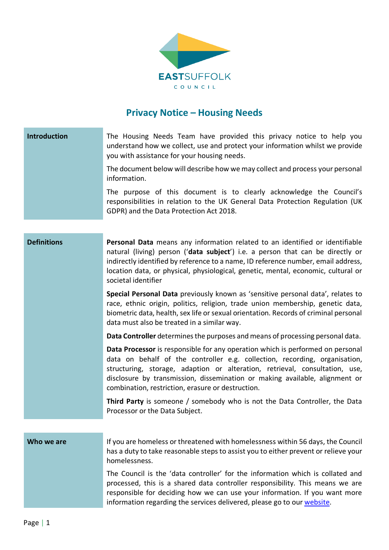

## **Privacy Notice – Housing Needs**

| Introduction       | The Housing Needs Team have provided this privacy notice to help you<br>understand how we collect, use and protect your information whilst we provide<br>you with assistance for your housing needs.                                                                                                                                                                            |
|--------------------|---------------------------------------------------------------------------------------------------------------------------------------------------------------------------------------------------------------------------------------------------------------------------------------------------------------------------------------------------------------------------------|
|                    | The document below will describe how we may collect and process your personal<br>information.                                                                                                                                                                                                                                                                                   |
|                    | The purpose of this document is to clearly acknowledge the Council's<br>responsibilities in relation to the UK General Data Protection Regulation (UK<br>GDPR) and the Data Protection Act 2018.                                                                                                                                                                                |
|                    |                                                                                                                                                                                                                                                                                                                                                                                 |
| <b>Definitions</b> | Personal Data means any information related to an identified or identifiable<br>natural (living) person ('data subject') i.e. a person that can be directly or<br>indirectly identified by reference to a name, ID reference number, email address,<br>location data, or physical, physiological, genetic, mental, economic, cultural or<br>societal identifier                 |
|                    | Special Personal Data previously known as 'sensitive personal data', relates to<br>race, ethnic origin, politics, religion, trade union membership, genetic data,<br>biometric data, health, sex life or sexual orientation. Records of criminal personal<br>data must also be treated in a similar way.                                                                        |
|                    | Data Controller determines the purposes and means of processing personal data.                                                                                                                                                                                                                                                                                                  |
|                    | Data Processor is responsible for any operation which is performed on personal<br>data on behalf of the controller e.g. collection, recording, organisation,<br>structuring, storage, adaption or alteration, retrieval, consultation, use,<br>disclosure by transmission, dissemination or making available, alignment or<br>combination, restriction, erasure or destruction. |
|                    | <b>Third Party</b> is someone / somebody who is not the Data Controller, the Data<br>Processor or the Data Subject.                                                                                                                                                                                                                                                             |
|                    |                                                                                                                                                                                                                                                                                                                                                                                 |
| Who we are         | If you are homeless or threatened with homelessness within 56 days, the Council<br>has a duty to take reasonable steps to assist you to either prevent or relieve your<br>homelessness.                                                                                                                                                                                         |
|                    | The Council is the 'data controller' for the information which is collated and<br>processed, this is a shared data controller responsibility. This means we are<br>responsible for deciding how we can use your information. If you want more<br>information regarding the services delivered, please go to our website.                                                        |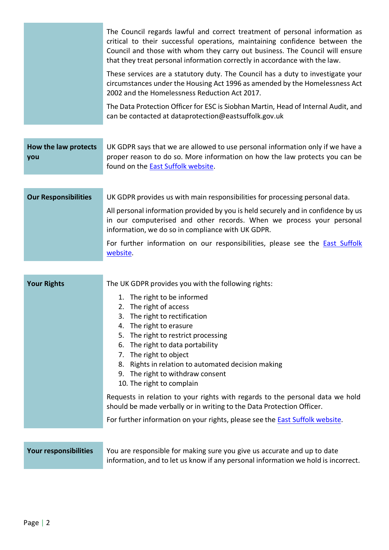|                             | The Council regards lawful and correct treatment of personal information as<br>critical to their successful operations, maintaining confidence between the<br>Council and those with whom they carry out business. The Council will ensure<br>that they treat personal information correctly in accordance with the law.                                                                                                       |
|-----------------------------|--------------------------------------------------------------------------------------------------------------------------------------------------------------------------------------------------------------------------------------------------------------------------------------------------------------------------------------------------------------------------------------------------------------------------------|
|                             | These services are a statutory duty. The Council has a duty to investigate your<br>circumstances under the Housing Act 1996 as amended by the Homelessness Act<br>2002 and the Homelessness Reduction Act 2017.                                                                                                                                                                                                                |
|                             | The Data Protection Officer for ESC is Siobhan Martin, Head of Internal Audit, and<br>can be contacted at dataprotection@eastsuffolk.gov.uk                                                                                                                                                                                                                                                                                    |
| How the law protects<br>you | UK GDPR says that we are allowed to use personal information only if we have a<br>proper reason to do so. More information on how the law protects you can be<br>found on the East Suffolk website.                                                                                                                                                                                                                            |
| <b>Our Responsibilities</b> | UK GDPR provides us with main responsibilities for processing personal data.<br>All personal information provided by you is held securely and in confidence by us                                                                                                                                                                                                                                                              |
|                             | in our computerised and other records. When we process your personal<br>information, we do so in compliance with UK GDPR.                                                                                                                                                                                                                                                                                                      |
|                             | For further information on our responsibilities, please see the <b>East Suffolk</b><br>website.                                                                                                                                                                                                                                                                                                                                |
| <b>Your Rights</b>          | The UK GDPR provides you with the following rights:                                                                                                                                                                                                                                                                                                                                                                            |
|                             | 1. The right to be informed<br>2. The right of access<br>3. The right to rectification<br>4. The right to erasure<br>5. The right to restrict processing<br>6. The right to data portability<br>7. The right to object<br>8. Rights in relation to automated decision making<br>9. The right to withdraw consent<br>10. The right to complain<br>Requests in relation to your rights with regards to the personal data we hold |
|                             | should be made verbally or in writing to the Data Protection Officer.<br>For further information on your rights, please see the East Suffolk website.                                                                                                                                                                                                                                                                          |
|                             |                                                                                                                                                                                                                                                                                                                                                                                                                                |

**Your responsibilities** You are responsible for making sure you give us accurate and up to date information, and to let us know if any personal information we hold is incorrect.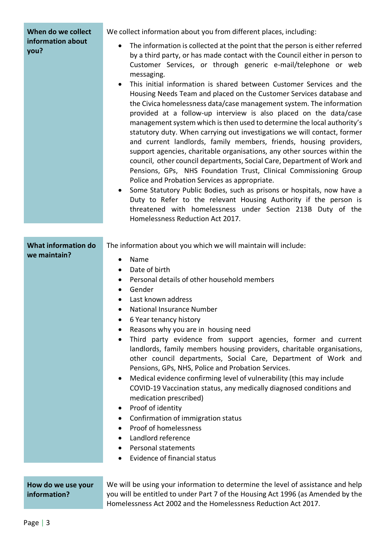| When do we collect<br>information about<br>you? | We collect information about you from different places, including:                                                                                                                                                                                                                                                                                                                                                                                                                                                                                                                                                                                                                                                                                                                                                                                                                                                                                                                                                                                                                                                                                                                                                                                                                               |
|-------------------------------------------------|--------------------------------------------------------------------------------------------------------------------------------------------------------------------------------------------------------------------------------------------------------------------------------------------------------------------------------------------------------------------------------------------------------------------------------------------------------------------------------------------------------------------------------------------------------------------------------------------------------------------------------------------------------------------------------------------------------------------------------------------------------------------------------------------------------------------------------------------------------------------------------------------------------------------------------------------------------------------------------------------------------------------------------------------------------------------------------------------------------------------------------------------------------------------------------------------------------------------------------------------------------------------------------------------------|
|                                                 | The information is collected at the point that the person is either referred<br>by a third party, or has made contact with the Council either in person to<br>Customer Services, or through generic e-mail/telephone or web<br>messaging.<br>This initial information is shared between Customer Services and the<br>Housing Needs Team and placed on the Customer Services database and<br>the Civica homelessness data/case management system. The information<br>provided at a follow-up interview is also placed on the data/case<br>management system which is then used to determine the local authority's<br>statutory duty. When carrying out investigations we will contact, former<br>and current landlords, family members, friends, housing providers,<br>support agencies, charitable organisations, any other sources within the<br>council, other council departments, Social Care, Department of Work and<br>Pensions, GPs, NHS Foundation Trust, Clinical Commissioning Group<br>Police and Probation Services as appropriate.<br>Some Statutory Public Bodies, such as prisons or hospitals, now have a<br>Duty to Refer to the relevant Housing Authority if the person is<br>threatened with homelessness under Section 213B Duty of the<br>Homelessness Reduction Act 2017. |
| <b>What information do</b>                      | The information about you which we will maintain will include:                                                                                                                                                                                                                                                                                                                                                                                                                                                                                                                                                                                                                                                                                                                                                                                                                                                                                                                                                                                                                                                                                                                                                                                                                                   |
| we maintain?                                    | Name<br>$\bullet$                                                                                                                                                                                                                                                                                                                                                                                                                                                                                                                                                                                                                                                                                                                                                                                                                                                                                                                                                                                                                                                                                                                                                                                                                                                                                |
|                                                 | Date of birth<br>٠                                                                                                                                                                                                                                                                                                                                                                                                                                                                                                                                                                                                                                                                                                                                                                                                                                                                                                                                                                                                                                                                                                                                                                                                                                                                               |
|                                                 |                                                                                                                                                                                                                                                                                                                                                                                                                                                                                                                                                                                                                                                                                                                                                                                                                                                                                                                                                                                                                                                                                                                                                                                                                                                                                                  |
|                                                 | Personal details of other household members<br>$\bullet$                                                                                                                                                                                                                                                                                                                                                                                                                                                                                                                                                                                                                                                                                                                                                                                                                                                                                                                                                                                                                                                                                                                                                                                                                                         |
|                                                 | Gender<br>$\bullet$                                                                                                                                                                                                                                                                                                                                                                                                                                                                                                                                                                                                                                                                                                                                                                                                                                                                                                                                                                                                                                                                                                                                                                                                                                                                              |
|                                                 | Last known address<br>$\bullet$                                                                                                                                                                                                                                                                                                                                                                                                                                                                                                                                                                                                                                                                                                                                                                                                                                                                                                                                                                                                                                                                                                                                                                                                                                                                  |
|                                                 | National Insurance Number<br>6 Year tenancy history                                                                                                                                                                                                                                                                                                                                                                                                                                                                                                                                                                                                                                                                                                                                                                                                                                                                                                                                                                                                                                                                                                                                                                                                                                              |
|                                                 | Reasons why you are in housing need                                                                                                                                                                                                                                                                                                                                                                                                                                                                                                                                                                                                                                                                                                                                                                                                                                                                                                                                                                                                                                                                                                                                                                                                                                                              |
|                                                 | Third party evidence from support agencies, former and current<br>landlords, family members housing providers, charitable organisations,<br>other council departments, Social Care, Department of Work and<br>Pensions, GPs, NHS, Police and Probation Services.                                                                                                                                                                                                                                                                                                                                                                                                                                                                                                                                                                                                                                                                                                                                                                                                                                                                                                                                                                                                                                 |
|                                                 | Medical evidence confirming level of vulnerability (this may include                                                                                                                                                                                                                                                                                                                                                                                                                                                                                                                                                                                                                                                                                                                                                                                                                                                                                                                                                                                                                                                                                                                                                                                                                             |
|                                                 | COVID-19 Vaccination status, any medically diagnosed conditions and<br>medication prescribed)                                                                                                                                                                                                                                                                                                                                                                                                                                                                                                                                                                                                                                                                                                                                                                                                                                                                                                                                                                                                                                                                                                                                                                                                    |
|                                                 | Proof of identity<br>٠                                                                                                                                                                                                                                                                                                                                                                                                                                                                                                                                                                                                                                                                                                                                                                                                                                                                                                                                                                                                                                                                                                                                                                                                                                                                           |
|                                                 | Confirmation of immigration status<br>٠                                                                                                                                                                                                                                                                                                                                                                                                                                                                                                                                                                                                                                                                                                                                                                                                                                                                                                                                                                                                                                                                                                                                                                                                                                                          |
|                                                 | Proof of homelessness<br>$\bullet$                                                                                                                                                                                                                                                                                                                                                                                                                                                                                                                                                                                                                                                                                                                                                                                                                                                                                                                                                                                                                                                                                                                                                                                                                                                               |
|                                                 | Landlord reference<br>$\bullet$                                                                                                                                                                                                                                                                                                                                                                                                                                                                                                                                                                                                                                                                                                                                                                                                                                                                                                                                                                                                                                                                                                                                                                                                                                                                  |
|                                                 | <b>Personal statements</b><br><b>Evidence of financial status</b>                                                                                                                                                                                                                                                                                                                                                                                                                                                                                                                                                                                                                                                                                                                                                                                                                                                                                                                                                                                                                                                                                                                                                                                                                                |

## **How do we use your information?**

We will be using your information to determine the level of assistance and help you will be entitled to under Part 7 of the Housing Act 1996 (as Amended by the Homelessness Act 2002 and the Homelessness Reduction Act 2017.